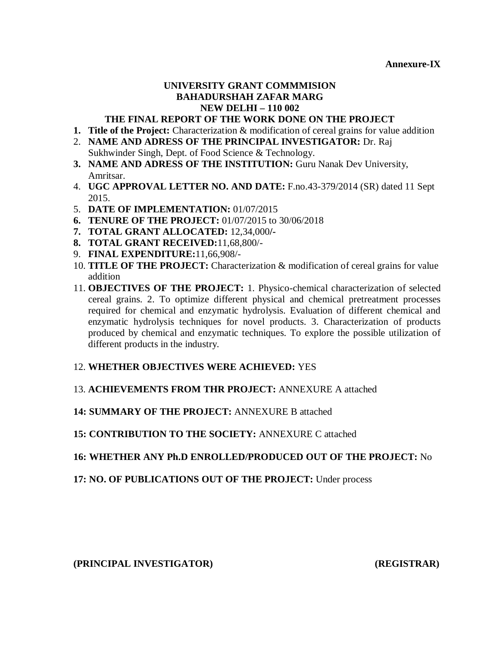**Annexure-IX**

# **UNIVERSITY GRANT COMMMISION BAHADURSHAH ZAFAR MARG NEW DELHI – 110 002**

## **THE FINAL REPORT OF THE WORK DONE ON THE PROJECT**

- **1. Title of the Project:** Characterization & modification of cereal grains for value addition
- 2. **NAME AND ADRESS OF THE PRINCIPAL INVESTIGATOR:** Dr. Raj Sukhwinder Singh, Dept. of Food Science & Technology.
- **3. NAME AND ADRESS OF THE INSTITUTION:** Guru Nanak Dev University, Amritsar.
- 4. **UGC APPROVAL LETTER NO. AND DATE:** F.no.43-379/2014 (SR) dated 11 Sept 2015.
- 5. **DATE OF IMPLEMENTATION:** 01/07/2015
- **6. TENURE OF THE PROJECT:** 01/07/2015 to 30/06/2018
- **7. TOTAL GRANT ALLOCATED:** 12,34,000**/-**
- **8. TOTAL GRANT RECEIVED:**11,68,800/-
- 9. **FINAL EXPENDITURE:**11,66,908/-
- 10. **TITLE OF THE PROJECT:** Characterization & modification of cereal grains for value addition
- 11. **OBJECTIVES OF THE PROJECT:** 1. Physico-chemical characterization of selected cereal grains. 2. To optimize different physical and chemical pretreatment processes required for chemical and enzymatic hydrolysis. Evaluation of different chemical and enzymatic hydrolysis techniques for novel products. 3. Characterization of products produced by chemical and enzymatic techniques. To explore the possible utilization of different products in the industry.

## 12. **WHETHER OBJECTIVES WERE ACHIEVED:** YES

## 13. **ACHIEVEMENTS FROM THR PROJECT:** ANNEXURE A attached

## **14: SUMMARY OF THE PROJECT:** ANNEXURE B attached

## **15: CONTRIBUTION TO THE SOCIETY:** ANNEXURE C attached

## **16: WHETHER ANY Ph.D ENROLLED/PRODUCED OUT OF THE PROJECT:** No

## **17: NO. OF PUBLICATIONS OUT OF THE PROJECT:** Under process

**(PRINCIPAL INVESTIGATOR) (REGISTRAR)**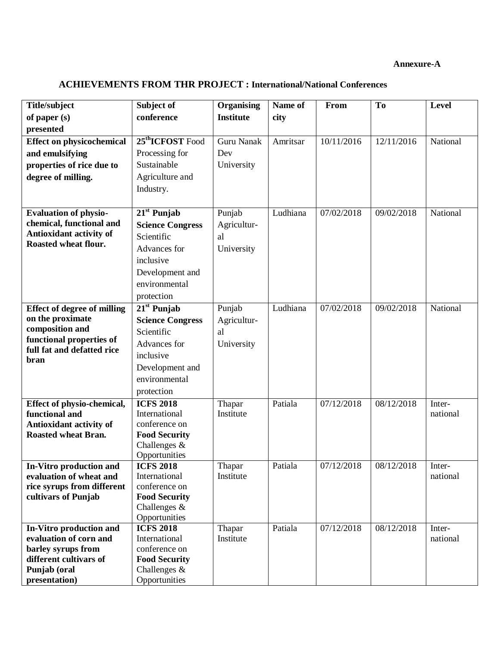#### **Annexure-A**

# **ACHIEVEMENTS FROM THR PROJECT : International/National Conferences**

| <b>Title/subject</b>                               | Subject of                     | Organising       | Name of  | From       | T <sub>0</sub> | <b>Level</b> |
|----------------------------------------------------|--------------------------------|------------------|----------|------------|----------------|--------------|
| of paper $(s)$                                     | conference                     | <b>Institute</b> | city     |            |                |              |
| presented                                          |                                |                  |          |            |                |              |
| <b>Effect on physicochemical</b>                   | 25 <sup>th</sup> ICFOST Food   | Guru Nanak       | Amritsar | 10/11/2016 | 12/11/2016     | National     |
| and emulsifying                                    | Processing for                 | Dev              |          |            |                |              |
| properties of rice due to                          | Sustainable                    | University       |          |            |                |              |
| degree of milling.                                 | Agriculture and                |                  |          |            |                |              |
|                                                    | Industry.                      |                  |          |            |                |              |
|                                                    |                                |                  |          |            |                |              |
| <b>Evaluation of physio-</b>                       | $21st$ Punjab                  | Punjab           | Ludhiana | 07/02/2018 | 09/02/2018     | National     |
| chemical, functional and                           | <b>Science Congress</b>        | Agricultur-      |          |            |                |              |
| Antioxidant activity of                            | Scientific                     | al               |          |            |                |              |
| Roasted wheat flour.                               | Advances for                   | University       |          |            |                |              |
|                                                    | inclusive                      |                  |          |            |                |              |
|                                                    |                                |                  |          |            |                |              |
|                                                    | Development and                |                  |          |            |                |              |
|                                                    | environmental                  |                  |          |            |                |              |
|                                                    | protection                     |                  |          |            |                |              |
| <b>Effect of degree of milling</b>                 | $21st$ Punjab                  | Punjab           | Ludhiana | 07/02/2018 | 09/02/2018     | National     |
| on the proximate                                   | <b>Science Congress</b>        | Agricultur-      |          |            |                |              |
| composition and<br>functional properties of        | Scientific                     | al               |          |            |                |              |
| full fat and defatted rice                         | Advances for                   | University       |          |            |                |              |
| bran                                               | inclusive                      |                  |          |            |                |              |
|                                                    | Development and                |                  |          |            |                |              |
|                                                    | environmental                  |                  |          |            |                |              |
|                                                    | protection                     |                  |          |            |                |              |
| Effect of physio-chemical,                         | <b>ICFS 2018</b>               | Thapar           | Patiala  | 07/12/2018 | 08/12/2018     | Inter-       |
| functional and                                     | International                  | Institute        |          |            |                | national     |
| Antioxidant activity of                            | conference on                  |                  |          |            |                |              |
| <b>Roasted wheat Bran.</b>                         | <b>Food Security</b>           |                  |          |            |                |              |
|                                                    | Challenges &                   |                  |          |            |                |              |
|                                                    | Opportunities                  |                  |          |            |                |              |
| In-Vitro production and<br>evaluation of wheat and | <b>ICFS 2018</b>               | Thapar           | Patiala  | 07/12/2018 | 08/12/2018     | Inter-       |
| rice syrups from different                         | International<br>conference on | Institute        |          |            |                | national     |
| cultivars of Punjab                                | <b>Food Security</b>           |                  |          |            |                |              |
|                                                    | Challenges $\&$                |                  |          |            |                |              |
|                                                    | Opportunities                  |                  |          |            |                |              |
| In-Vitro production and                            | <b>ICFS 2018</b>               | Thapar           | Patiala  | 07/12/2018 | 08/12/2018     | Inter-       |
| evaluation of corn and                             | International                  | Institute        |          |            |                | national     |
| barley syrups from                                 | conference on                  |                  |          |            |                |              |
| different cultivars of                             | <b>Food Security</b>           |                  |          |            |                |              |
| Punjab (oral                                       | Challenges $\&$                |                  |          |            |                |              |
| presentation)                                      | Opportunities                  |                  |          |            |                |              |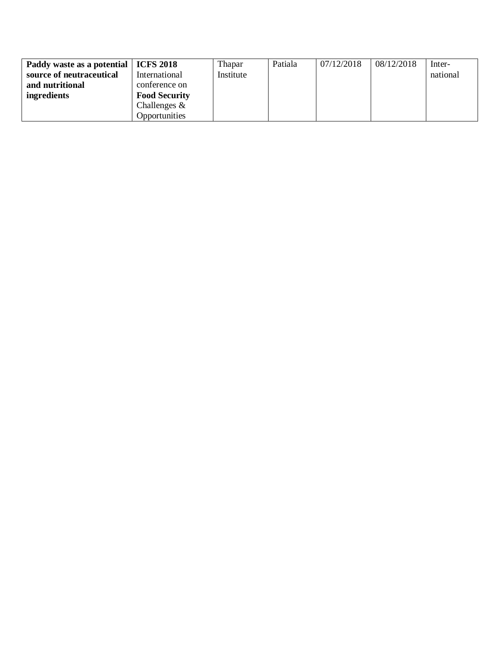| Paddy waste as a potential   ICFS 2018 |                      | Thapar    | Patiala | 07/12/2018 | 08/12/2018 | Inter-   |
|----------------------------------------|----------------------|-----------|---------|------------|------------|----------|
| source of neutraceutical               | International        | Institute |         |            |            | national |
| and nutritional                        | conference on        |           |         |            |            |          |
| ingredients                            | <b>Food Security</b> |           |         |            |            |          |
|                                        | Challenges $\&$      |           |         |            |            |          |
|                                        | Opportunities        |           |         |            |            |          |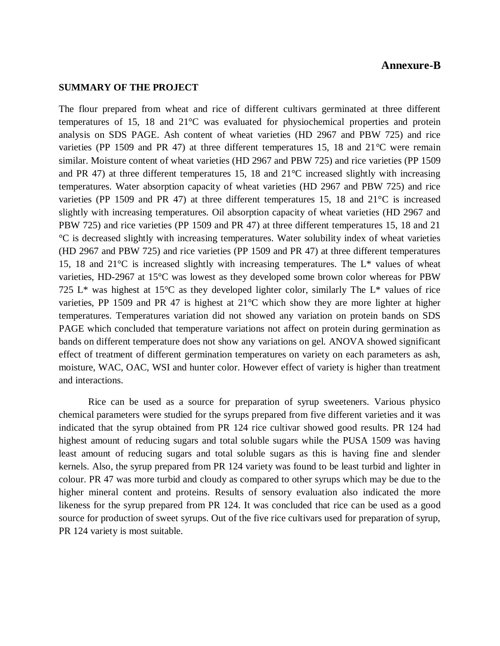#### **Annexure-B**

#### **SUMMARY OF THE PROJECT**

The flour prepared from wheat and rice of different cultivars germinated at three different temperatures of 15, 18 and 21°C was evaluated for physiochemical properties and protein analysis on SDS PAGE. Ash content of wheat varieties (HD 2967 and PBW 725) and rice varieties (PP 1509 and PR 47) at three different temperatures 15, 18 and 21*°*C were remain similar. Moisture content of wheat varieties (HD 2967 and PBW 725) and rice varieties (PP 1509 and PR 47) at three different temperatures 15, 18 and  $21^{\circ}$ C increased slightly with increasing temperatures. Water absorption capacity of wheat varieties (HD 2967 and PBW 725) and rice varieties (PP 1509 and PR 47) at three different temperatures 15, 18 and 21°C is increased slightly with increasing temperatures. Oil absorption capacity of wheat varieties (HD 2967 and PBW 725) and rice varieties (PP 1509 and PR 47) at three different temperatures 15, 18 and 21 °C is decreased slightly with increasing temperatures. Water solubility index of wheat varieties (HD 2967 and PBW 725) and rice varieties (PP 1509 and PR 47) at three different temperatures 15, 18 and 21°C is increased slightly with increasing temperatures. The L\* values of wheat varieties, HD-2967 at 15°C was lowest as they developed some brown color whereas for PBW 725 L<sup>\*</sup> was highest at 15<sup>o</sup>C as they developed lighter color, similarly The L<sup>\*</sup> values of rice varieties, PP 1509 and PR 47 is highest at 21°C which show they are more lighter at higher temperatures. Temperatures variation did not showed any variation on protein bands on SDS PAGE which concluded that temperature variations not affect on protein during germination as bands on different temperature does not show any variations on gel. ANOVA showed significant effect of treatment of different germination temperatures on variety on each parameters as ash, moisture, WAC, OAC, WSI and hunter color. However effect of variety is higher than treatment and interactions.

Rice can be used as a source for preparation of syrup sweeteners. Various physico chemical parameters were studied for the syrups prepared from five different varieties and it was indicated that the syrup obtained from PR 124 rice cultivar showed good results. PR 124 had highest amount of reducing sugars and total soluble sugars while the PUSA 1509 was having least amount of reducing sugars and total soluble sugars as this is having fine and slender kernels. Also, the syrup prepared from PR 124 variety was found to be least turbid and lighter in colour. PR 47 was more turbid and cloudy as compared to other syrups which may be due to the higher mineral content and proteins. Results of sensory evaluation also indicated the more likeness for the syrup prepared from PR 124. It was concluded that rice can be used as a good source for production of sweet syrups. Out of the five rice cultivars used for preparation of syrup, PR 124 variety is most suitable.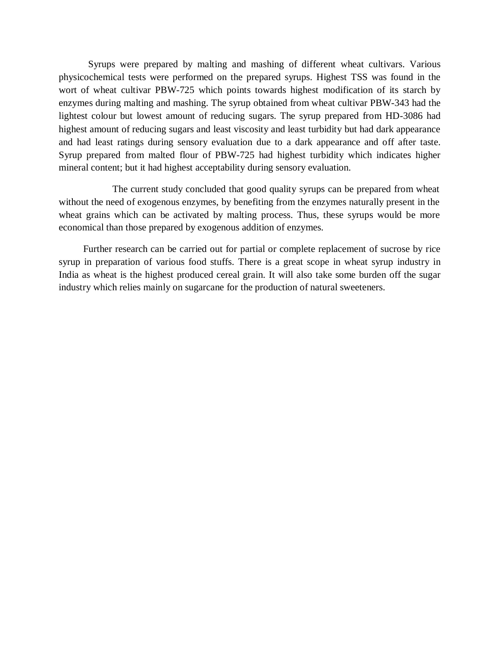Syrups were prepared by malting and mashing of different wheat cultivars. Various physicochemical tests were performed on the prepared syrups. Highest TSS was found in the wort of wheat cultivar PBW-725 which points towards highest modification of its starch by enzymes during malting and mashing. The syrup obtained from wheat cultivar PBW-343 had the lightest colour but lowest amount of reducing sugars. The syrup prepared from HD-3086 had highest amount of reducing sugars and least viscosity and least turbidity but had dark appearance and had least ratings during sensory evaluation due to a dark appearance and off after taste. Syrup prepared from malted flour of PBW-725 had highest turbidity which indicates higher mineral content; but it had highest acceptability during sensory evaluation.

 The current study concluded that good quality syrups can be prepared from wheat without the need of exogenous enzymes, by benefiting from the enzymes naturally present in the wheat grains which can be activated by malting process. Thus, these syrups would be more economical than those prepared by exogenous addition of enzymes.

 Further research can be carried out for partial or complete replacement of sucrose by rice syrup in preparation of various food stuffs. There is a great scope in wheat syrup industry in India as wheat is the highest produced cereal grain. It will also take some burden off the sugar industry which relies mainly on sugarcane for the production of natural sweeteners.